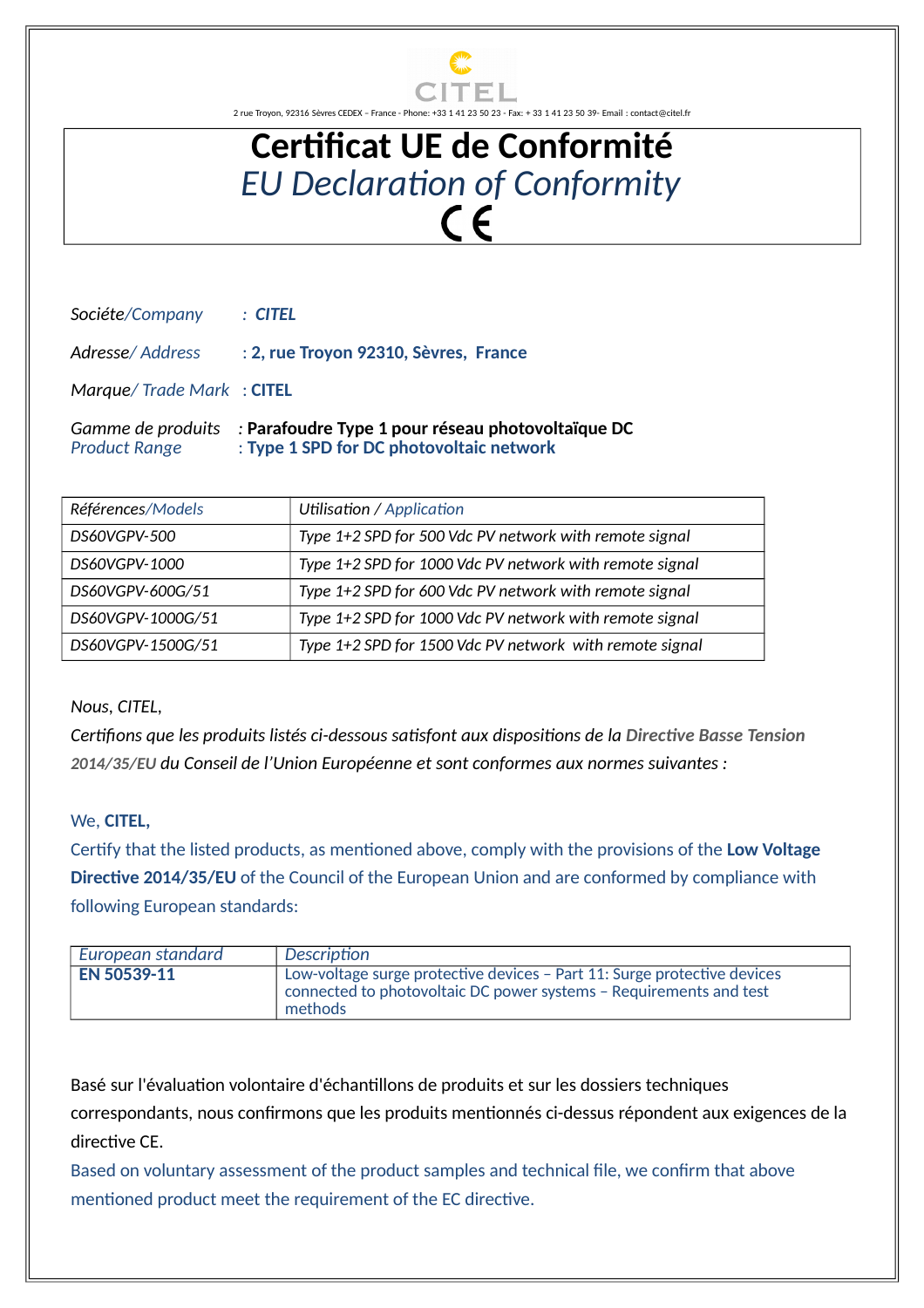

2 rue Troyon, 92316 Sèvres CEDEX – France - Phone: +33 1 41 23 50 23 - Fax: + 33 1 41 23 50 39- Email : contact@citel.fr

## **Certificat UE de Conformité** *EU Declaration of Conformity*

| Sociéte/Company | $\therefore$ CITEL |
|-----------------|--------------------|
|-----------------|--------------------|

*Adresse/ Address* : **2, rue Troyon 92310, Sèvres, France**

*Marque/ Trade Mark* : **CITEL**

*Gamme de produits :* **Parafoudre Type 1 pour réseau photovoltaïque DC** *Product Range* : **Type 1 SPD for DC photovoltaic network**

| Références/Models | Utilisation / Application                               |
|-------------------|---------------------------------------------------------|
| DS60VGPV-500      | Type 1+2 SPD for 500 Vdc PV network with remote signal  |
| DS60VGPV-1000     | Type 1+2 SPD for 1000 Vdc PV network with remote signal |
| DS60VGPV-600G/51  | Type 1+2 SPD for 600 Vdc PV network with remote signal  |
| DS60VGPV-1000G/51 | Type 1+2 SPD for 1000 Vdc PV network with remote signal |
| DS60VGPV-1500G/51 | Type 1+2 SPD for 1500 Vdc PV network with remote signal |

*Nous, CITEL,*

*Certifions que les produits listés ci-dessous satisfont aux dispositions de la Directive Basse Tension 2014/35/EU du Conseil de l'Union Européenne et sont conformes aux normes suivantes :*

## We, **CITEL,**

Certify that the listed products, as mentioned above, comply with the provisions of the **Low Voltage Directive 2014/35/EU** of the Council of the European Union and are conformed by compliance with following European standards:

| European standard  | Description                                                                                                                                               |
|--------------------|-----------------------------------------------------------------------------------------------------------------------------------------------------------|
| <b>EN 50539-11</b> | Low-voltage surge protective devices - Part 11: Surge protective devices<br>connected to photovoltaic DC power systems - Requirements and test<br>methods |

Basé sur l'évaluation volontaire d'échantillons de produits et sur les dossiers techniques correspondants, nous confirmons que les produits mentionnés ci-dessus répondent aux exigences de la directive CE.

Based on voluntary assessment of the product samples and technical file, we confirm that above mentioned product meet the requirement of the EC directive.